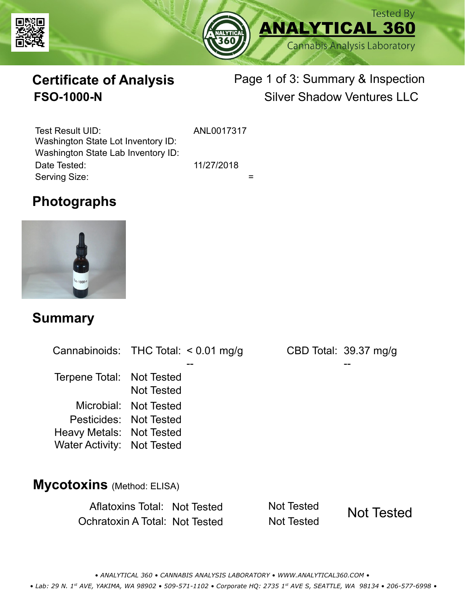



# **Certificate of Analysis**

# Page 1 of 3: Summary & Inspection **FSO-1000-N** Silver Shadow Ventures LLC

Serving Size:  $=$ Test Result UID: ANL0017317 Date Tested: 11/27/2018 Washington State Lot Inventory ID: Washington State Lab Inventory ID:

### **Photographs**



#### **Summary**

Cannabinoids: THC Total:  $< 0.01$  mg/g Terpene Total: Not Tested Microbial: Not Tested CBD Total: 39.37 mg/g Pesticides: Not Tested Heavy Metals: Not Tested -- -- Not Tested Water Activity: Not Tested

#### **Mycotoxins** (Method: ELISA)

Aflatoxins Total: Not Tested Not Tested Ochratoxin A Total: Not Tested Not Tested



*• ANALYTICAL 360 • CANNABIS ANALYSIS LABORATORY • WWW.ANALYTICAL360.COM • • Lab: 29 N. 1st AVE, YAKIMA, WA 98902 • 509-571-1102 • Corporate HQ: 2735 1st AVE S, SEATTLE, WA 98134 • 206-577-6998 •*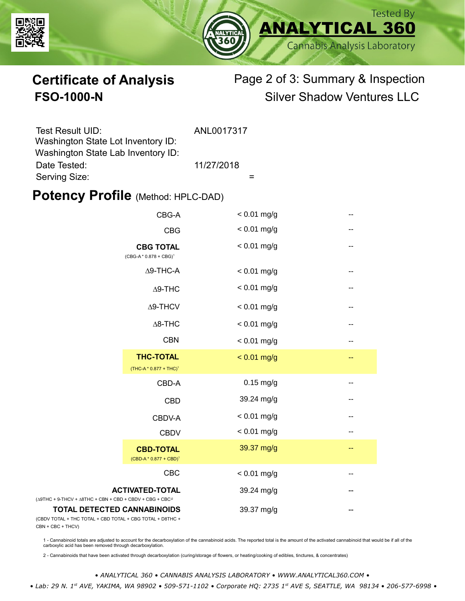



# **Certificate of Analysis** Page 2 of 3: Summary & Inspection **FSO-1000-N** Silver Shadow Ventures LLC

| Test Result UID:                   | ANL0017317 |
|------------------------------------|------------|
| Washington State Lot Inventory ID: |            |
| Washington State Lab Inventory ID: |            |
| Date Tested:                       | 11/27/2018 |
| Serving Size:                      |            |

#### **Potency Profile (Method: HPLC-DAD)**

|                                                                                           | CBG-A                                                  | $< 0.01$ mg/g | -- |
|-------------------------------------------------------------------------------------------|--------------------------------------------------------|---------------|----|
|                                                                                           | <b>CBG</b>                                             | $< 0.01$ mg/g | -- |
| <b>CBG TOTAL</b><br>(CBG-A*0.878 + CBG) <sup>1</sup>                                      |                                                        | $< 0.01$ mg/g | -- |
|                                                                                           | $\Delta$ 9-THC-A                                       | $< 0.01$ mg/g | -- |
| $\Delta$ 9-THC                                                                            |                                                        | $< 0.01$ mg/g | -- |
|                                                                                           | $\Delta$ 9-THCV                                        | $< 0.01$ mg/g | -- |
|                                                                                           | $\Delta$ 8-THC                                         | $< 0.01$ mg/g | -- |
|                                                                                           | <b>CBN</b>                                             | $< 0.01$ mg/g | -- |
|                                                                                           | <b>THC-TOTAL</b><br>(THC-A * 0.877 + THC) <sup>1</sup> | $< 0.01$ mg/g | -- |
|                                                                                           | CBD-A                                                  | $0.15$ mg/g   | -- |
|                                                                                           | <b>CBD</b>                                             | 39.24 mg/g    | -- |
|                                                                                           | CBDV-A                                                 | $< 0.01$ mg/g | -- |
|                                                                                           | <b>CBDV</b>                                            | $< 0.01$ mg/g | -- |
|                                                                                           | <b>CBD-TOTAL</b><br>$(CBD-A * 0.877 + CBD)^1$          | 39.37 mg/g    | -- |
|                                                                                           | <b>CBC</b>                                             | $< 0.01$ mg/g |    |
| + 9-THCV + $\triangle$ 8THC + CBN + CBD + CBDV + CBG + CBC <sup><math>/2</math></sup>     | <b>ACTIVATED-TOTAL</b>                                 | 39.24 mg/g    |    |
| <b>TOTAL DETECTED CANNABINOIDS</b><br>TOTAL + THC TOTAL + CBD TOTAL + CBG TOTAL + D8THC + |                                                        | 39.37 mg/g    |    |

(CBDV TOTAL + THC TOTAL CBN + CBC + THCV)

(∆9THC + 9-THCV + ∆8THC

1 - Cannabinoid totals are adjusted to account for the decarboxylation of the cannabinoid acids. The reported total is the amount of the activated cannabinoid that would be if all of the<br>carboxylic acid has been removed th

2 - Cannabinoids that have been activated through decarboxylation (curing/storage of flowers, or heating/cooking of edibles, tinctures, & concentrates)

*• ANALYTICAL 360 • CANNABIS ANALYSIS LABORATORY • WWW.ANALYTICAL360.COM •*

 *• Lab: 29 N. 1st AVE, YAKIMA, WA 98902 • 509-571-1102 • Corporate HQ: 2735 1st AVE S, SEATTLE, WA 98134 • 206-577-6998 •*